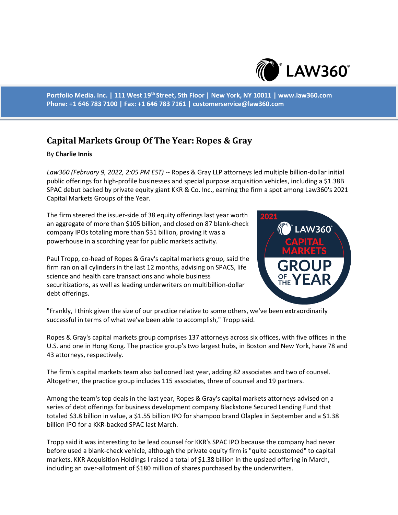

**Portfolio Media. Inc. | 111 West 19th Street, 5th Floor | New York, NY 10011 | www.law360.com Phone: +1 646 783 7100 | Fax: +1 646 783 7161 | customerservice@law360.com**

## **Capital Markets Group Of The Year: Ropes & Gray**

## By **Charlie Innis**

*Law360 (February 9, 2022, 2:05 PM EST)* -- Ropes & Gray LLP attorneys led multiple billion-dollar initial public offerings for high-profile businesses and special purpose acquisition vehicles, including a \$1.38B SPAC debut backed by private equity giant KKR & Co. Inc., earning the firm a spot among Law360's 2021 Capital Markets Groups of the Year.

The firm steered the issuer-side of 38 equity offerings last year worth an aggregate of more than \$105 billion, and closed on 87 blank-check company IPOs totaling more than \$31 billion, proving it was a powerhouse in a scorching year for public markets activity.

Paul Tropp, co-head of Ropes & Gray's capital markets group, said the firm ran on all cylinders in the last 12 months, advising on SPACS, life science and health care transactions and whole business securitizations, as well as leading underwriters on multibillion-dollar debt offerings.



"Frankly, I think given the size of our practice relative to some others, we've been extraordinarily successful in terms of what we've been able to accomplish," Tropp said.

Ropes & Gray's capital markets group comprises 137 attorneys across six offices, with five offices in the U.S. and one in Hong Kong. The practice group's two largest hubs, in Boston and New York, have 78 and 43 attorneys, respectively.

The firm's capital markets team also ballooned last year, adding 82 associates and two of counsel. Altogether, the practice group includes 115 associates, three of counsel and 19 partners.

Among the team's top deals in the last year, Ropes & Gray's capital markets attorneys advised on a series of debt offerings for business development company Blackstone Secured Lending Fund that totaled \$3.8 billion in value, a \$1.55 billion IPO for shampoo brand Olaplex in September and a \$1.38 billion IPO for a KKR-backed SPAC last March.

Tropp said it was interesting to be lead counsel for KKR's SPAC IPO because the company had never before used a blank-check vehicle, although the private equity firm is "quite accustomed" to capital markets. KKR Acquisition Holdings I raised a total of \$1.38 billion in the upsized offering in March, including an over-allotment of \$180 million of shares purchased by the underwriters.